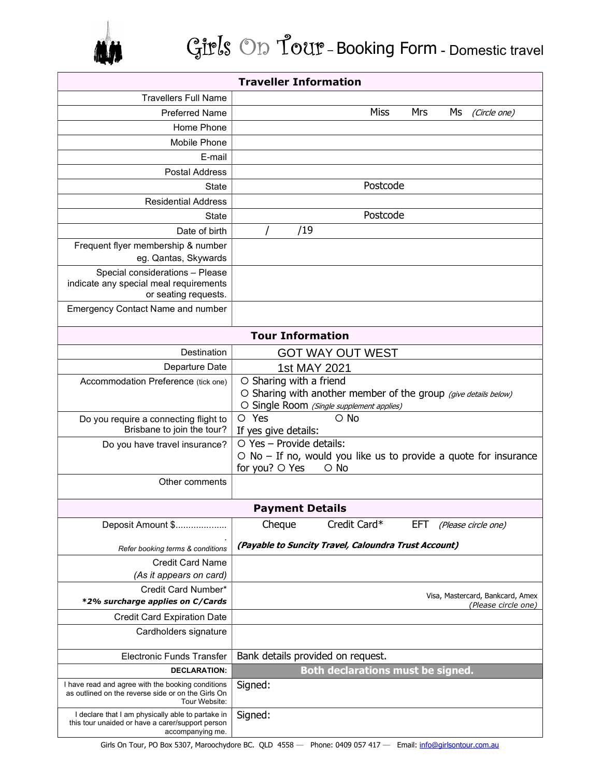

| <b>Traveller Information</b>                                         |                                                                        |
|----------------------------------------------------------------------|------------------------------------------------------------------------|
| <b>Travellers Full Name</b>                                          |                                                                        |
| <b>Preferred Name</b>                                                | Miss<br>Mrs<br>Ms<br>(Circle one)                                      |
| Home Phone                                                           |                                                                        |
| Mobile Phone                                                         |                                                                        |
| E-mail                                                               |                                                                        |
| <b>Postal Address</b>                                                |                                                                        |
| State                                                                | Postcode                                                               |
| <b>Residential Address</b>                                           |                                                                        |
| State                                                                | Postcode                                                               |
| Date of birth                                                        | /19                                                                    |
| Frequent flyer membership & number                                   |                                                                        |
| eg. Qantas, Skywards                                                 |                                                                        |
| Special considerations - Please                                      |                                                                        |
| indicate any special meal requirements<br>or seating requests.       |                                                                        |
| <b>Emergency Contact Name and number</b>                             |                                                                        |
|                                                                      |                                                                        |
| <b>Tour Information</b>                                              |                                                                        |
| Destination                                                          | <b>GOT WAY OUT WEST</b>                                                |
| Departure Date                                                       | 1st MAY 2021                                                           |
| Accommodation Preference (tick one)                                  | O Sharing with a friend                                                |
|                                                                      | O Sharing with another member of the group (give details below)        |
|                                                                      | O Single Room (Single supplement applies)<br>O Yes<br>$\circ$ No       |
| Do you require a connecting flight to<br>Brisbane to join the tour?  | If yes give details:                                                   |
| Do you have travel insurance?                                        | $\circ$ Yes - Provide details:                                         |
|                                                                      | $\circ$ No – If no, would you like us to provide a quote for insurance |
|                                                                      | for you? ○ Yes<br>$\circ$ No                                           |
| Other comments                                                       |                                                                        |
|                                                                      | <b>Payment Details</b>                                                 |
| Deposit Amount \$.                                                   | Credit Card*<br>Cheque<br>EFT<br>(Please circle one)                   |
|                                                                      | (Payable to Suncity Travel, Caloundra Trust Account)                   |
| Refer booking terms & conditions<br><b>Credit Card Name</b>          |                                                                        |
| (As it appears on card)                                              |                                                                        |
| Credit Card Number*                                                  |                                                                        |
| *2% surcharge applies on C/Cards                                     | Visa, Mastercard, Bankcard, Amex<br>(Please circle one)                |
| <b>Credit Card Expiration Date</b>                                   |                                                                        |
| Cardholders signature                                                |                                                                        |
| <b>Electronic Funds Transfer</b>                                     | Bank details provided on request.                                      |
| <b>DECLARATION:</b>                                                  | <b>Both declarations must be signed.</b>                               |
| I have read and agree with the booking conditions                    | Signed:                                                                |
| as outlined on the reverse side or on the Girls On<br>Tour Website:  |                                                                        |
| I declare that I am physically able to partake in                    | Signed:                                                                |
| this tour unaided or have a carer/support person<br>accompanying me. |                                                                        |